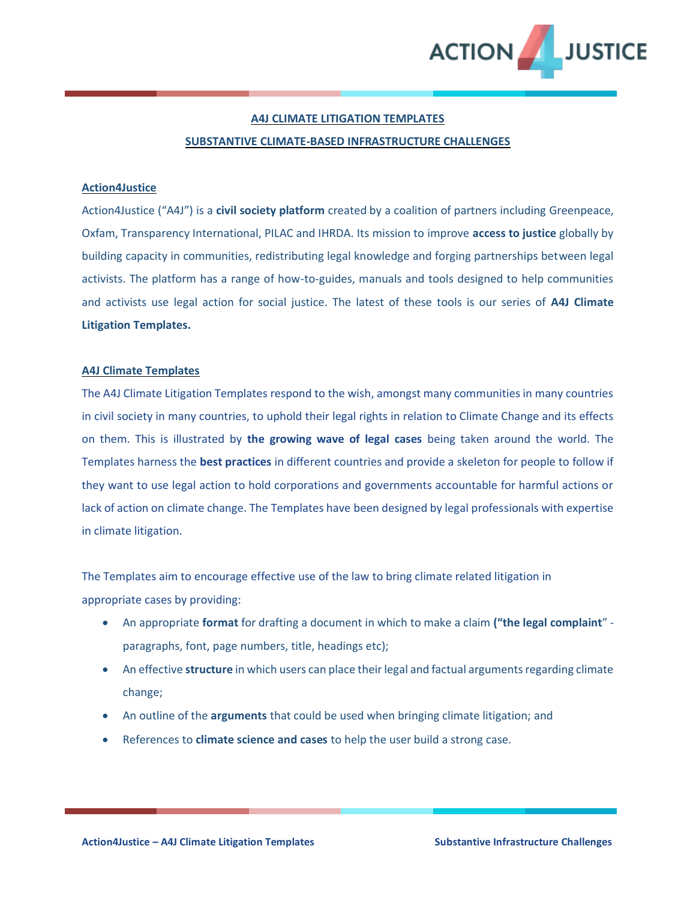

#### **A4J CLIMATE LITIGATION TEMPLATES**

#### **SUBSTANTIVE CLIMATE-BASED INFRASTRUCTURE CHALLENGES**

#### **Action4Justice**

Action4Justice ("A4J") is a **civil society platform** created by a coalition of partners including Greenpeace, Oxfam, Transparency International, PILAC and IHRDA. Its mission to improve **access to justice** globally by building capacity in communities, redistributing legal knowledge and forging partnerships between legal activists. The platform has a range of how-to-guides, manuals and tools designed to help communities and activists use legal action for social justice. The latest of these tools is our series of **A4J Climate Litigation Templates.** 

#### **A4J Climate Templates**

The A4J Climate Litigation Templates respond to the wish, amongst many communities in many countries in civil society in many countries, to uphold their legal rights in relation to Climate Change and its effects on them. This is illustrated by **the growing wave of legal cases** being taken around the world. The Templates harness the **best practices** in different countries and provide a skeleton for people to follow if they want to use legal action to hold corporations and governments accountable for harmful actions or lack of action on climate change. The Templates have been designed by legal professionals with expertise in climate litigation.

The Templates aim to encourage effective use of the law to bring climate related litigation in appropriate cases by providing:

- An appropriate **format** for drafting a document in which to make a claim **("the legal complaint**" paragraphs, font, page numbers, title, headings etc);
- An effective **structure** in which users can place their legal and factual arguments regarding climate change;
- An outline of the **arguments** that could be used when bringing climate litigation; and
- References to **climate science and cases** to help the user build a strong case.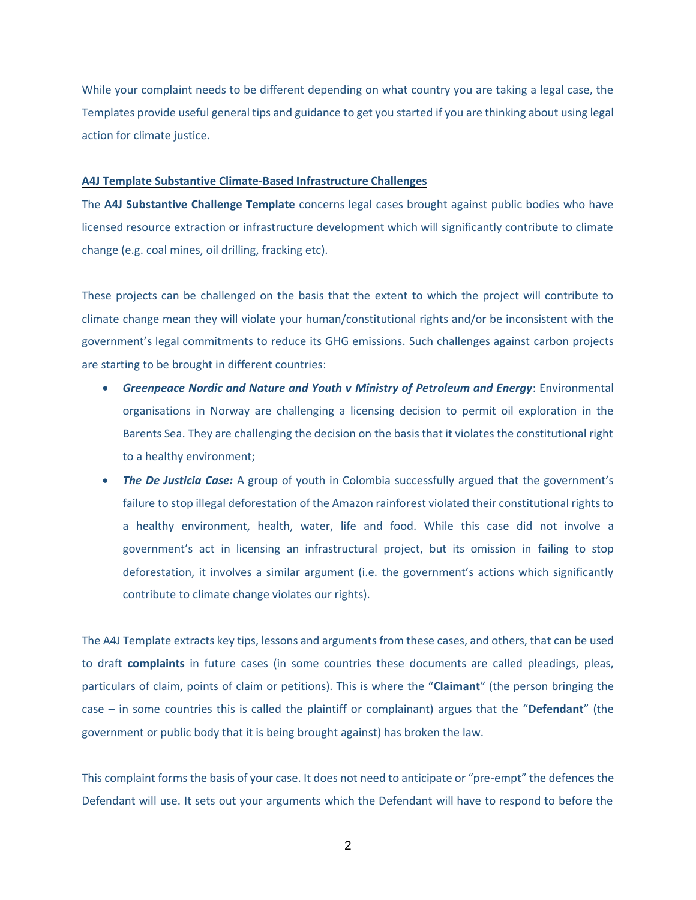While your complaint needs to be different depending on what country you are taking a legal case, the Templates provide useful general tips and guidance to get you started if you are thinking about using legal action for climate justice.

#### **A4J Template Substantive Climate-Based Infrastructure Challenges**

The **A4J Substantive Challenge Template** concerns legal cases brought against public bodies who have licensed resource extraction or infrastructure development which will significantly contribute to climate change (e.g. coal mines, oil drilling, fracking etc).

These projects can be challenged on the basis that the extent to which the project will contribute to climate change mean they will violate your human/constitutional rights and/or be inconsistent with the government's legal commitments to reduce its GHG emissions. Such challenges against carbon projects are starting to be brought in different countries:

- *Greenpeace Nordic and Nature and Youth v Ministry of Petroleum and Energy*: Environmental organisations in Norway are challenging a licensing decision to permit oil exploration in the Barents Sea. They are challenging the decision on the basis that it violates the constitutional right to a healthy environment;
- **The De Justicia Case:** A group of youth in Colombia successfully argued that the government's failure to stop illegal deforestation of the Amazon rainforest violated their constitutional rights to a healthy environment, health, water, life and food. While this case did not involve a government's act in licensing an infrastructural project, but its omission in failing to stop deforestation, it involves a similar argument (i.e. the government's actions which significantly contribute to climate change violates our rights).

The A4J Template extracts key tips, lessons and arguments from these cases, and others, that can be used to draft **complaints** in future cases (in some countries these documents are called pleadings, pleas, particulars of claim, points of claim or petitions). This is where the "**Claimant**" (the person bringing the case – in some countries this is called the plaintiff or complainant) argues that the "**Defendant**" (the government or public body that it is being brought against) has broken the law.

This complaint forms the basis of your case. It does not need to anticipate or "pre-empt" the defences the Defendant will use. It sets out your arguments which the Defendant will have to respond to before the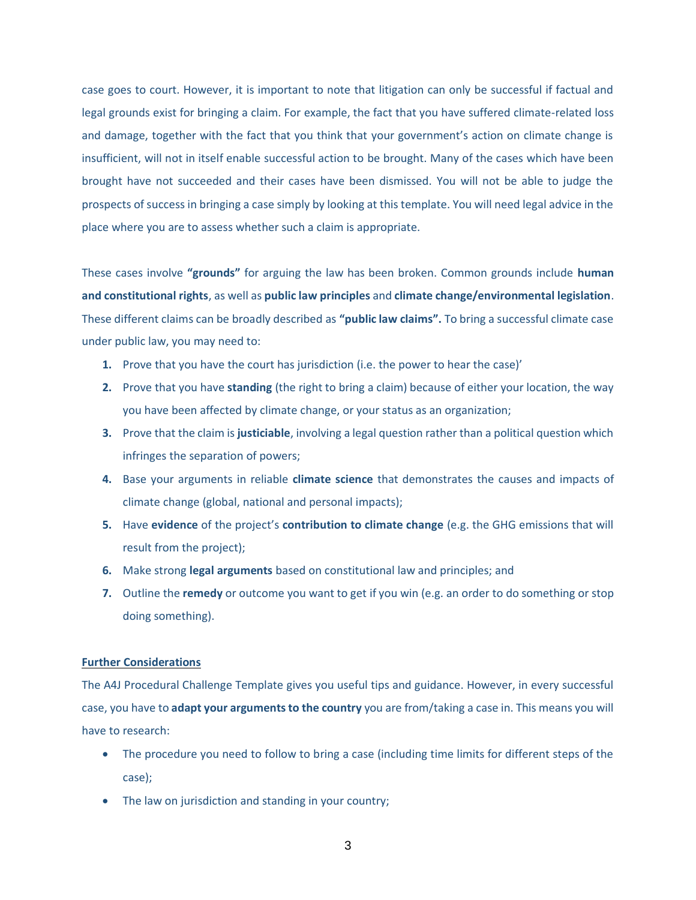case goes to court. However, it is important to note that litigation can only be successful if factual and legal grounds exist for bringing a claim. For example, the fact that you have suffered climate-related loss and damage, together with the fact that you think that your government's action on climate change is insufficient, will not in itself enable successful action to be brought. Many of the cases which have been brought have not succeeded and their cases have been dismissed. You will not be able to judge the prospects of success in bringing a case simply by looking at this template. You will need legal advice in the place where you are to assess whether such a claim is appropriate.

These cases involve **"grounds"** for arguing the law has been broken. Common grounds include **human and constitutional rights**, as well as **public law principles** and **climate change/environmental legislation**. These different claims can be broadly described as **"public law claims".** To bring a successful climate case under public law, you may need to:

- **1.** Prove that you have the court has jurisdiction (i.e. the power to hear the case)'
- **2.** Prove that you have **standing** (the right to bring a claim) because of either your location, the way you have been affected by climate change, or your status as an organization;
- **3.** Prove that the claim is **justiciable**, involving a legal question rather than a political question which infringes the separation of powers;
- **4.** Base your arguments in reliable **climate science** that demonstrates the causes and impacts of climate change (global, national and personal impacts);
- **5.** Have **evidence** of the project's **contribution to climate change** (e.g. the GHG emissions that will result from the project);
- **6.** Make strong **legal arguments** based on constitutional law and principles; and
- **7.** Outline the **remedy** or outcome you want to get if you win (e.g. an order to do something or stop doing something).

#### **Further Considerations**

The A4J Procedural Challenge Template gives you useful tips and guidance. However, in every successful case, you have to **adapt your arguments to the country** you are from/taking a case in. This means you will have to research:

- The procedure you need to follow to bring a case (including time limits for different steps of the case);
- The law on jurisdiction and standing in your country;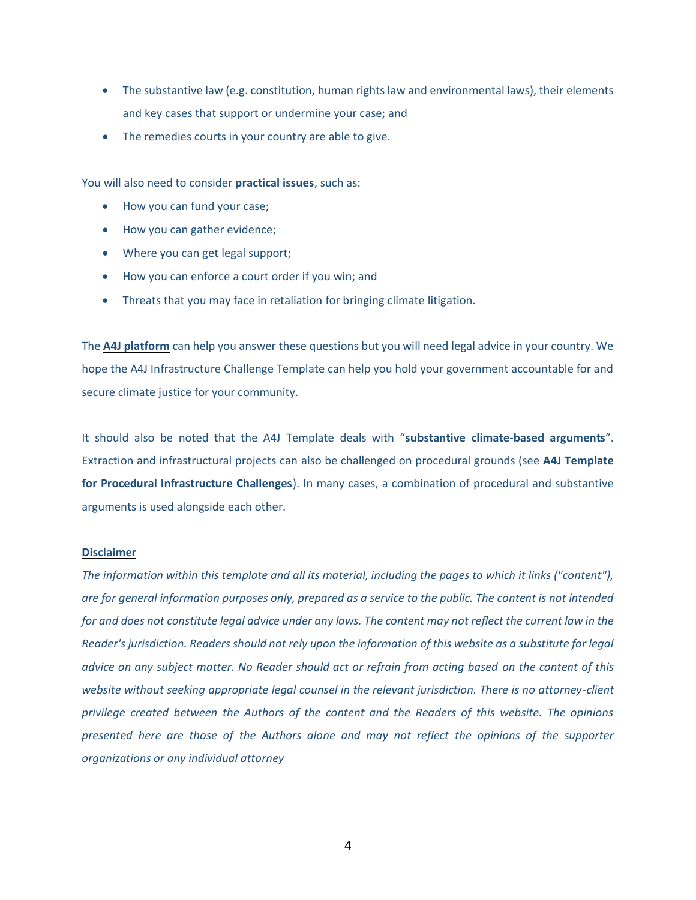- The substantive law (e.g. constitution, human rights law and environmental laws), their elements and key cases that support or undermine your case; and
- The remedies courts in your country are able to give.

You will also need to consider **practical issues**, such as:

- How you can fund your case;
- How you can gather evidence;
- Where you can get legal support;
- How you can enforce a court order if you win; and
- Threats that you may face in retaliation for bringing climate litigation.

The **[A4J platform](https://action4justice.org/)** can help you answer these questions but you will need legal advice in your country. We hope the A4J Infrastructure Challenge Template can help you hold your government accountable for and secure climate justice for your community.

It should also be noted that the A4J Template deals with "**substantive climate-based arguments**". Extraction and infrastructural projects can also be challenged on procedural grounds (see **A4J Template for Procedural Infrastructure Challenges**). In many cases, a combination of procedural and substantive arguments is used alongside each other.

#### **Disclaimer**

*The information within this template and all its material, including the pages to which it links ("content"), are for general information purposes only, prepared as a service to the public. The content is not intended for and does not constitute legal advice under any laws. The content may not reflect the current law in the Reader's jurisdiction. Readers should not rely upon the information of this website as a substitute for legal advice on any subject matter. No Reader should act or refrain from acting based on the content of this website without seeking appropriate legal counsel in the relevant jurisdiction. There is no attorney-client privilege created between the Authors of the content and the Readers of this website. The opinions presented here are those of the Authors alone and may not reflect the opinions of the supporter organizations or any individual attorney*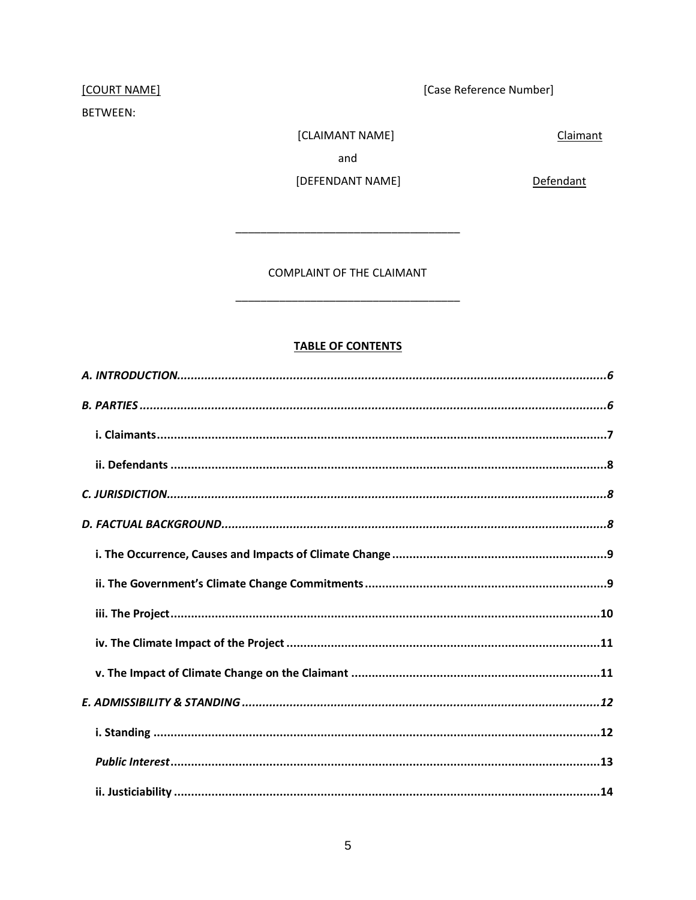# [COURT NAME]

### BETWEEN:

[Case Reference Number]

Claimant

[CLAIMANT NAME] and

[DEFENDANT NAME]

Defendant

COMPLAINT OF THE CLAIMANT

### **TABLE OF CONTENTS**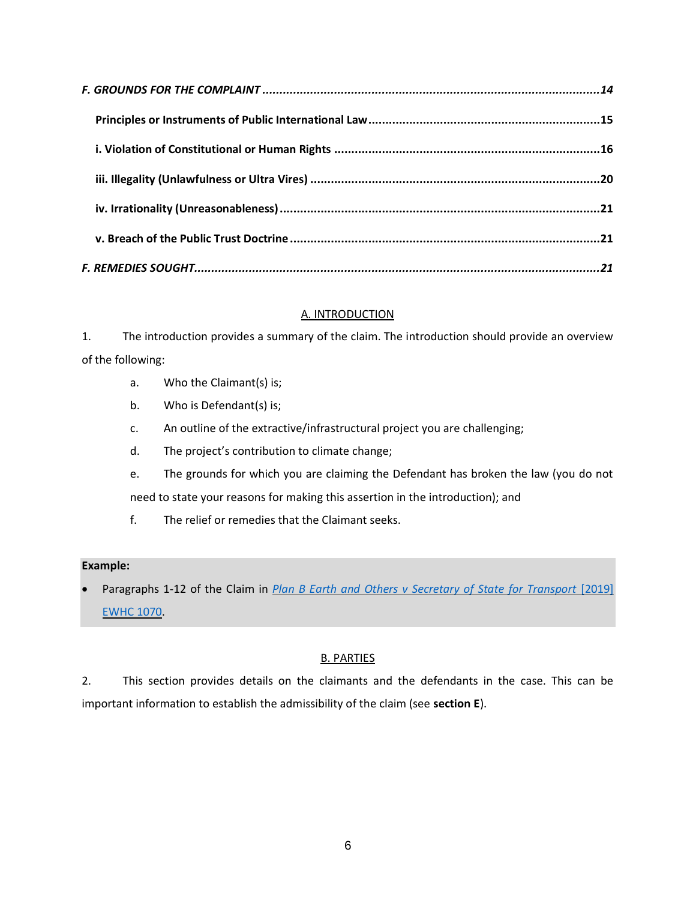| iii. Illegality (Unlawfulness or Ultra Vires) ……………………………………………………………………………………20 |  |
|----------------------------------------------------------------------------------|--|
|                                                                                  |  |
|                                                                                  |  |
|                                                                                  |  |

### A. INTRODUCTION

<span id="page-5-0"></span>1. The introduction provides a summary of the claim. The introduction should provide an overview of the following:

- a. Who the Claimant(s) is;
- b. Who is Defendant(s) is;
- c. An outline of the extractive/infrastructural project you are challenging;
- d. The project's contribution to climate change;
- e. The grounds for which you are claiming the Defendant has broken the law (you do not need to state your reasons for making this assertion in the introduction); and
- f. The relief or remedies that the Claimant seeks.

### **Example:**

Paragraphs 1-12 of the Claim in *Plan B Earth and Others v Secretary of State for Transport* [2019] [EWHC 1070.](http://blogs2.law.columbia.edu/climate-change-litigation/wp-content/uploads/sites/16/non-us-case-documents/2018/20181104_2019-EWHC-1070-Admin_complaint-1.pdf)

# B. PARTIES

<span id="page-5-1"></span>2. This section provides details on the claimants and the defendants in the case. This can be important information to establish the admissibility of the claim (see **section E**).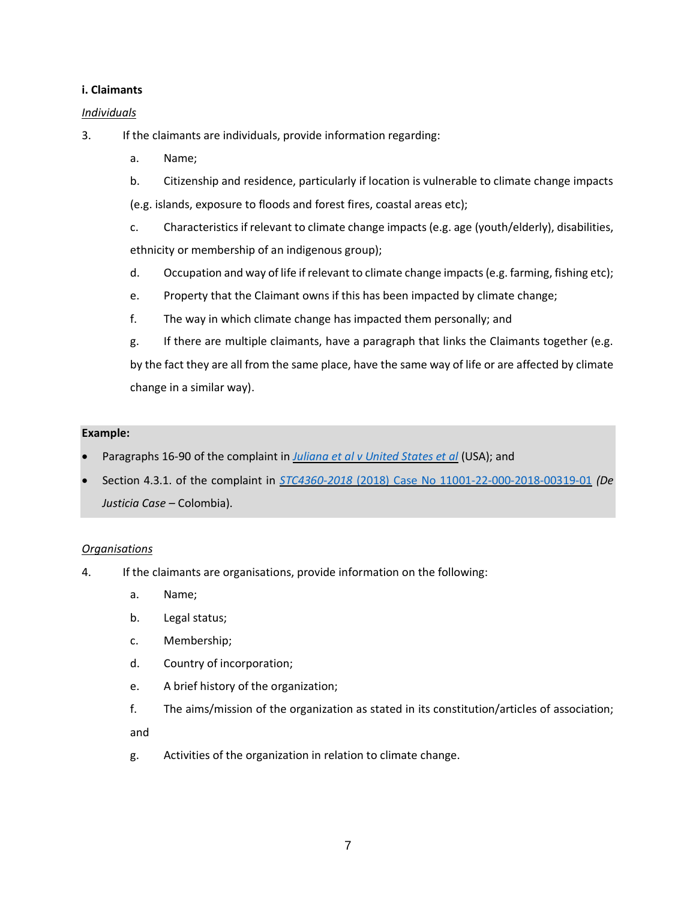### <span id="page-6-0"></span>**i. Claimants**

### *Individuals*

3. If the claimants are individuals, provide information regarding:

- a. Name;
- b. Citizenship and residence, particularly if location is vulnerable to climate change impacts
- (e.g. islands, exposure to floods and forest fires, coastal areas etc);
- c. Characteristics if relevant to climate change impacts (e.g. age (youth/elderly), disabilities, ethnicity or membership of an indigenous group);
- d. Occupation and way of life if relevant to climate change impacts (e.g. farming, fishing etc);
- e. Property that the Claimant owns if this has been impacted by climate change;
- f. The way in which climate change has impacted them personally; and
- g. If there are multiple claimants, have a paragraph that links the Claimants together (e.g. by the fact they are all from the same place, have the same way of life or are affected by climate change in a similar way).

#### **Example:**

- Paragraphs 16-90 of the complaint in *[Juliana et al v United States et al](https://static1.squarespace.com/static/571d109b04426270152febe0/t/57a35ac5ebbd1ac03847eece/1470323398409/YouthAmendedComplaintAgainstUS.pdf)* (USA); and
- Section 4.3.1. of the complaint in *STC4360-2018* [\(2018\) Case No 11001-22-000-2018-00319-01](http://blogs2.law.columbia.edu/climate-change-litigation/wp-content/uploads/sites/16/non-us-case-documents/2018/20180129_11001-22-03-000-2018-00319-00_complaint-1.pdf) *(De Justicia Case –* Colombia).

#### *Organisations*

- 4. If the claimants are organisations, provide information on the following:
	- a. Name;
	- b. Legal status;
	- c. Membership;
	- d. Country of incorporation;
	- e. A brief history of the organization;
	- f. The aims/mission of the organization as stated in its constitution/articles of association;

and

g. Activities of the organization in relation to climate change.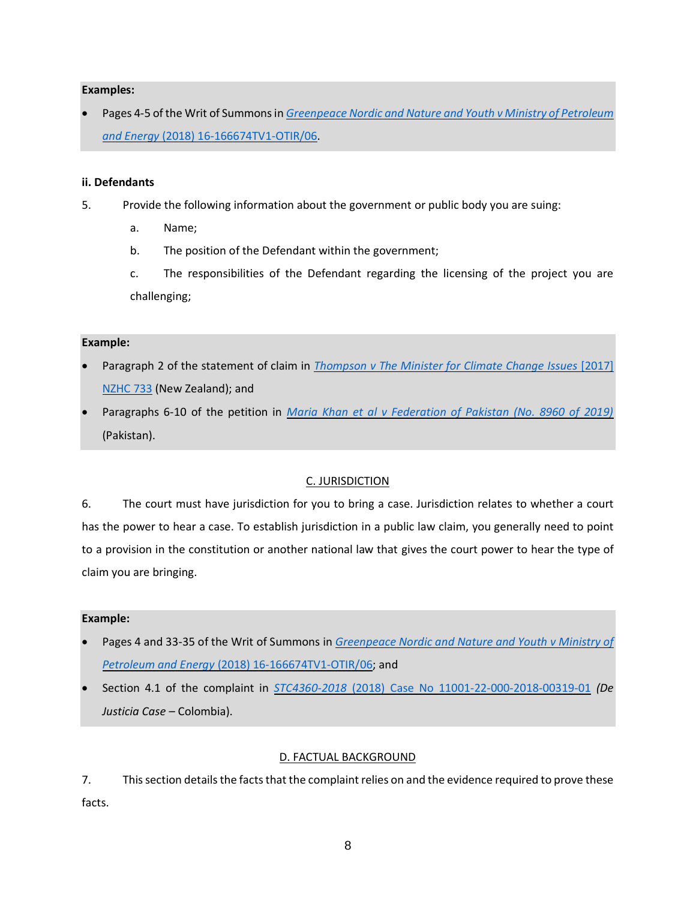### **Examples:**

• Pages 4-5 of the Writ of Summons in *[Greenpeace Nordic and Nature and Youth v Ministry of Petroleum](http://blogs2.law.columbia.edu/climate-change-litigation/wp-content/uploads/sites/16/non-us-case-documents/2016/20161018_18-060499ASD-BORG03_petition.pdf)  and Energy* [\(2018\) 16-166674TV1-OTIR/06.](http://blogs2.law.columbia.edu/climate-change-litigation/wp-content/uploads/sites/16/non-us-case-documents/2016/20161018_18-060499ASD-BORG03_petition.pdf)

### <span id="page-7-0"></span>**ii. Defendants**

- 5. Provide the following information about the government or public body you are suing:
	- a. Name;
	- b. The position of the Defendant within the government;
	- c. The responsibilities of the Defendant regarding the licensing of the project you are challenging;

### **Example:**

- Paragraph 2 of the statement of claim in *[Thompson v The Minister for Climate Change Issues](http://blogs2.law.columbia.edu/climate-change-litigation/wp-content/uploads/sites/16/non-us-case-documents/2015/20151110_2017-NZHC-733_complaint-1.pdf)* [2017] [NZHC 733](http://blogs2.law.columbia.edu/climate-change-litigation/wp-content/uploads/sites/16/non-us-case-documents/2015/20151110_2017-NZHC-733_complaint-1.pdf) (New Zealand); and
- Paragraphs 6-10 of the petition in *[Maria Khan et al v Federation of Pakistan \(No. 8960 of 2019\)](http://blogs2.law.columbia.edu/climate-change-litigation/wp-content/uploads/sites/16/non-us-case-documents/2019/20190214_No.-8960-of-2019_application.pdf)* (Pakistan).

### C. JURISDICTION

<span id="page-7-1"></span>6. The court must have jurisdiction for you to bring a case. Jurisdiction relates to whether a court has the power to hear a case. To establish jurisdiction in a public law claim, you generally need to point to a provision in the constitution or another national law that gives the court power to hear the type of claim you are bringing.

#### **Example:**

- Pages 4 and 33-35 of the Writ of Summons in *[Greenpeace Nordic and Nature and Youth v Ministry of](http://blogs2.law.columbia.edu/climate-change-litigation/wp-content/uploads/sites/16/non-us-case-documents/2016/20161018_18-060499ASD-BORG03_petition.pdf)  Petroleum and Energy* [\(2018\) 16-166674TV1-OTIR/06;](http://blogs2.law.columbia.edu/climate-change-litigation/wp-content/uploads/sites/16/non-us-case-documents/2016/20161018_18-060499ASD-BORG03_petition.pdf) and
- <span id="page-7-2"></span>• Section 4.1 of the complaint in *STC4360-2018* [\(2018\) Case No 11001-22-000-2018-00319-01](http://blogs2.law.columbia.edu/climate-change-litigation/wp-content/uploads/sites/16/non-us-case-documents/2018/20180129_11001-22-03-000-2018-00319-00_complaint-1.pdf) *(De Justicia Case –* Colombia).

#### D. FACTUAL BACKGROUND

7. This section details the facts that the complaint relies on and the evidence required to prove these facts.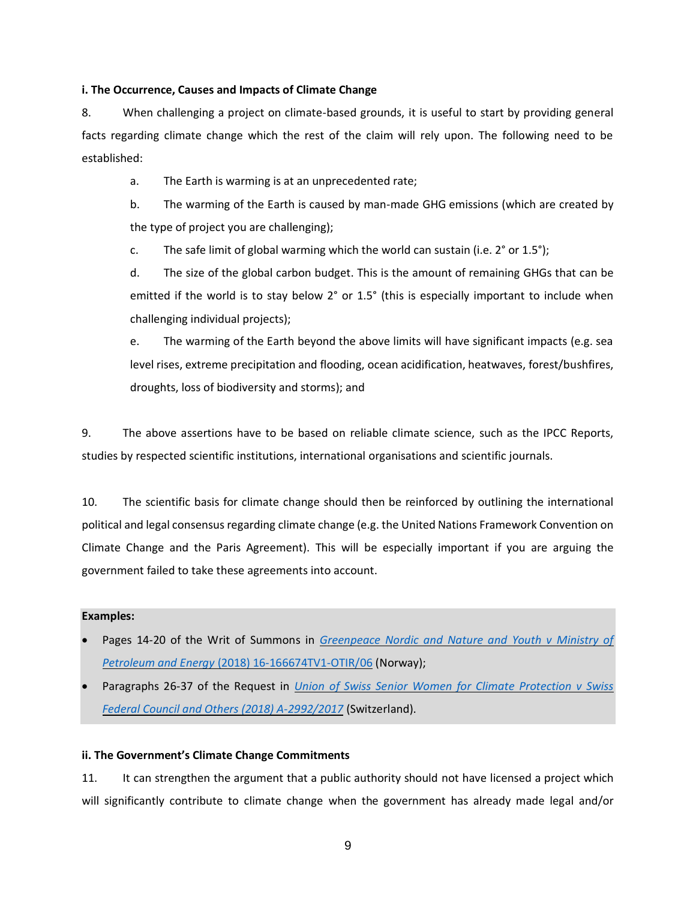#### <span id="page-8-0"></span>**i. The Occurrence, Causes and Impacts of Climate Change**

8. When challenging a project on climate-based grounds, it is useful to start by providing general facts regarding climate change which the rest of the claim will rely upon. The following need to be established:

a. The Earth is warming is at an unprecedented rate;

b. The warming of the Earth is caused by man-made GHG emissions (which are created by the type of project you are challenging);

c. The safe limit of global warming which the world can sustain (i.e.  $2^{\circ}$  or  $1.5^{\circ}$ );

d. The size of the global carbon budget. This is the amount of remaining GHGs that can be emitted if the world is to stay below 2° or 1.5° (this is especially important to include when challenging individual projects);

e. The warming of the Earth beyond the above limits will have significant impacts (e.g. sea level rises, extreme precipitation and flooding, ocean acidification, heatwaves, forest/bushfires, droughts, loss of biodiversity and storms); and

9. The above assertions have to be based on reliable climate science, such as the IPCC Reports, studies by respected scientific institutions, international organisations and scientific journals.

10. The scientific basis for climate change should then be reinforced by outlining the international political and legal consensus regarding climate change (e.g. the United Nations Framework Convention on Climate Change and the Paris Agreement). This will be especially important if you are arguing the government failed to take these agreements into account.

#### **Examples:**

- Pages 14-20 of the Writ of Summons in *[Greenpeace Nordic and Nature and Youth v Ministry of](http://blogs2.law.columbia.edu/climate-change-litigation/wp-content/uploads/sites/16/non-us-case-documents/2016/20161018_18-060499ASD-BORG03_petition.pdf)  Petroleum and Energy* [\(2018\) 16-166674TV1-OTIR/06](http://blogs2.law.columbia.edu/climate-change-litigation/wp-content/uploads/sites/16/non-us-case-documents/2016/20161018_18-060499ASD-BORG03_petition.pdf) (Norway);
- Paragraphs 26-37 of the Request in *[Union of Swiss Senior Women for Climate Protection v Swiss](https://klimaseniorinnen.ch/wp-content/uploads/2017/05/request_KlimaSeniorinnen.pdf)  [Federal Council and Others \(2018\) A-2992/2017](https://klimaseniorinnen.ch/wp-content/uploads/2017/05/request_KlimaSeniorinnen.pdf)* (Switzerland).

#### <span id="page-8-1"></span>**ii. The Government's Climate Change Commitments**

11. It can strengthen the argument that a public authority should not have licensed a project which will significantly contribute to climate change when the government has already made legal and/or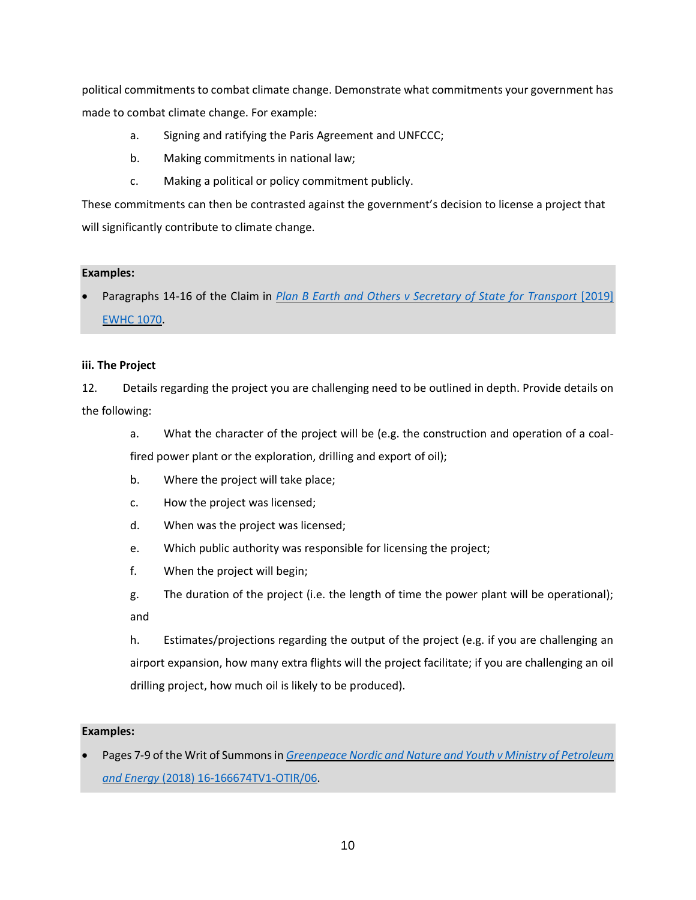political commitments to combat climate change. Demonstrate what commitments your government has made to combat climate change. For example:

- a. Signing and ratifying the Paris Agreement and UNFCCC;
- b. Making commitments in national law;
- c. Making a political or policy commitment publicly.

These commitments can then be contrasted against the government's decision to license a project that will significantly contribute to climate change.

### **Examples:**

• Paragraphs 14-16 of the Claim in *[Plan B Earth and Others v Secretary of State for Transport](http://blogs2.law.columbia.edu/climate-change-litigation/wp-content/uploads/sites/16/non-us-case-documents/2018/20181104_2019-EWHC-1070-Admin_complaint-1.pdf)* [2019] [EWHC 1070.](http://blogs2.law.columbia.edu/climate-change-litigation/wp-content/uploads/sites/16/non-us-case-documents/2018/20181104_2019-EWHC-1070-Admin_complaint-1.pdf)

### <span id="page-9-0"></span>**iii. The Project**

12. Details regarding the project you are challenging need to be outlined in depth. Provide details on the following:

a. What the character of the project will be (e.g. the construction and operation of a coalfired power plant or the exploration, drilling and export of oil);

- b. Where the project will take place;
- c. How the project was licensed;
- d. When was the project was licensed;
- e. Which public authority was responsible for licensing the project;
- f. When the project will begin;
- g. The duration of the project (i.e. the length of time the power plant will be operational); and

h. Estimates/projections regarding the output of the project (e.g. if you are challenging an airport expansion, how many extra flights will the project facilitate; if you are challenging an oil drilling project, how much oil is likely to be produced).

#### **Examples:**

• Pages 7-9 of the Writ of Summons in *[Greenpeace Nordic and Nature and Youth v Ministry of Petroleum](http://blogs2.law.columbia.edu/climate-change-litigation/wp-content/uploads/sites/16/non-us-case-documents/2016/20161018_18-060499ASD-BORG03_petition.pdf)  and Energy* [\(2018\) 16-166674TV1-OTIR/06.](http://blogs2.law.columbia.edu/climate-change-litigation/wp-content/uploads/sites/16/non-us-case-documents/2016/20161018_18-060499ASD-BORG03_petition.pdf)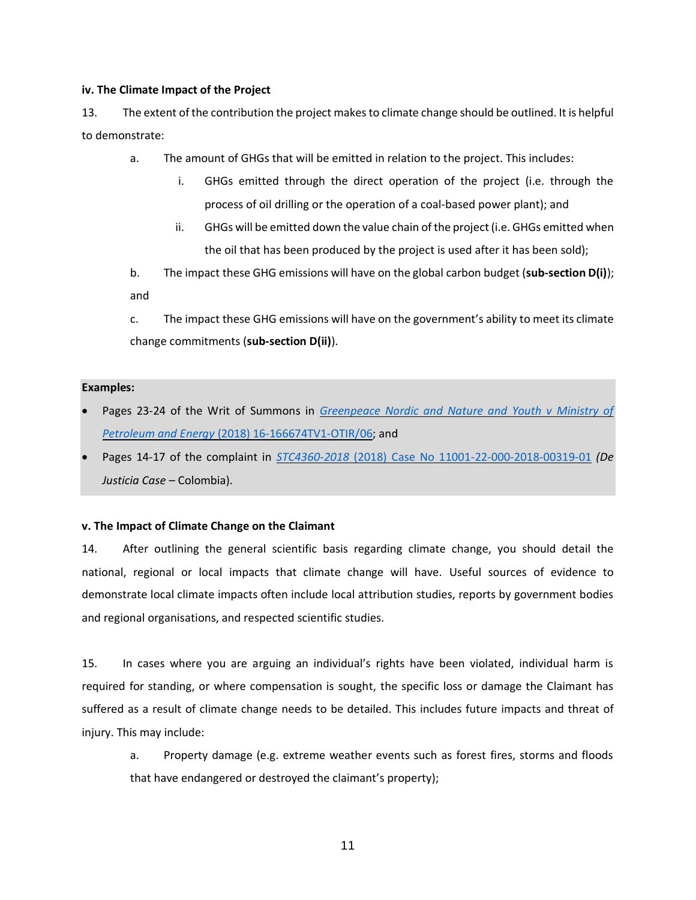#### <span id="page-10-0"></span>**iv. The Climate Impact of the Project**

13. The extent of the contribution the project makes to climate change should be outlined. It is helpful to demonstrate:

- a. The amount of GHGs that will be emitted in relation to the project. This includes:
	- i. GHGs emitted through the direct operation of the project (i.e. through the process of oil drilling or the operation of a coal-based power plant); and
	- ii. GHGs will be emitted down the value chain of the project (i.e. GHGs emitted when the oil that has been produced by the project is used after it has been sold);
- b. The impact these GHG emissions will have on the global carbon budget (**sub-section D(i)**); and

c. The impact these GHG emissions will have on the government's ability to meet its climate change commitments (**sub-section D(ii)**).

#### **Examples:**

- Pages 23-24 of the Writ of Summons in *[Greenpeace Nordic and Nature and Youth v Ministry of](http://blogs2.law.columbia.edu/climate-change-litigation/wp-content/uploads/sites/16/non-us-case-documents/2016/20161018_18-060499ASD-BORG03_petition.pdf)  Petroleum and Energy* [\(2018\) 16-166674TV1-OTIR/06;](http://blogs2.law.columbia.edu/climate-change-litigation/wp-content/uploads/sites/16/non-us-case-documents/2016/20161018_18-060499ASD-BORG03_petition.pdf) and
- Pages 14-17 of the complaint in *STC4360-2018* [\(2018\) Case No 11001-22-000-2018-00319-01](http://blogs2.law.columbia.edu/climate-change-litigation/wp-content/uploads/sites/16/non-us-case-documents/2018/20180129_11001-22-03-000-2018-00319-00_complaint-1.pdf) *(De Justicia Case –* Colombia).

#### <span id="page-10-1"></span>**v. The Impact of Climate Change on the Claimant**

14. After outlining the general scientific basis regarding climate change, you should detail the national, regional or local impacts that climate change will have. Useful sources of evidence to demonstrate local climate impacts often include local attribution studies, reports by government bodies and regional organisations, and respected scientific studies.

15. In cases where you are arguing an individual's rights have been violated, individual harm is required for standing, or where compensation is sought, the specific loss or damage the Claimant has suffered as a result of climate change needs to be detailed. This includes future impacts and threat of injury. This may include:

a. Property damage (e.g. extreme weather events such as forest fires, storms and floods that have endangered or destroyed the claimant's property);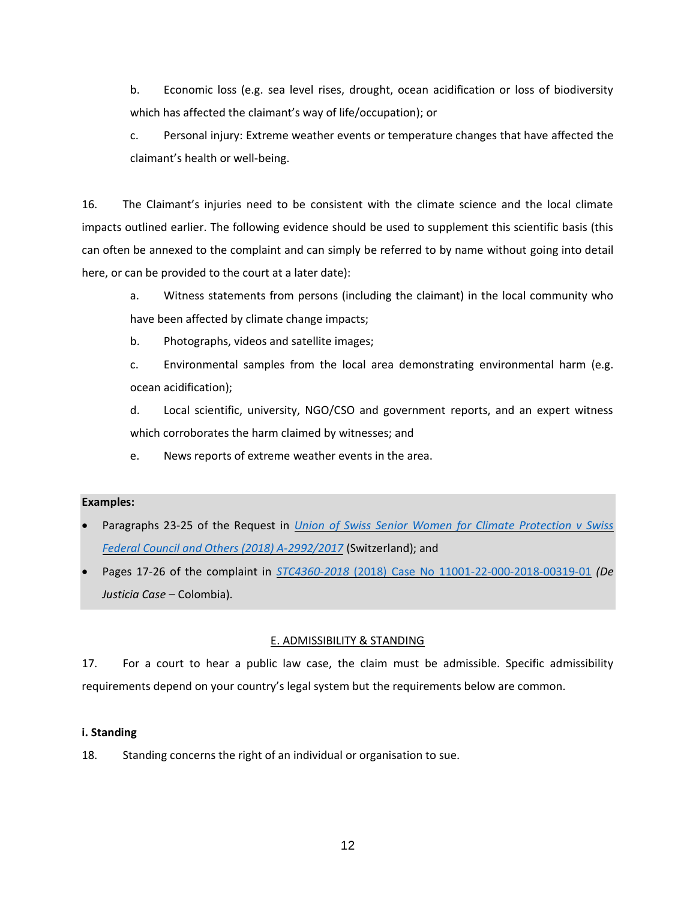b. Economic loss (e.g. sea level rises, drought, ocean acidification or loss of biodiversity which has affected the claimant's way of life/occupation); or

c. Personal injury: Extreme weather events or temperature changes that have affected the claimant's health or well-being.

16. The Claimant's injuries need to be consistent with the climate science and the local climate impacts outlined earlier. The following evidence should be used to supplement this scientific basis (this can often be annexed to the complaint and can simply be referred to by name without going into detail here, or can be provided to the court at a later date):

a. Witness statements from persons (including the claimant) in the local community who have been affected by climate change impacts;

b. Photographs, videos and satellite images;

c. Environmental samples from the local area demonstrating environmental harm (e.g. ocean acidification);

d. Local scientific, university, NGO/CSO and government reports, and an expert witness which corroborates the harm claimed by witnesses; and

e. News reports of extreme weather events in the area.

### **Examples:**

- Paragraphs 23-25 of the Request in *[Union of Swiss Senior Women for Climate Protection v Swiss](https://klimaseniorinnen.ch/wp-content/uploads/2017/05/request_KlimaSeniorinnen.pdf)  [Federal Council and Others \(2018\) A-2992/2017](https://klimaseniorinnen.ch/wp-content/uploads/2017/05/request_KlimaSeniorinnen.pdf)* (Switzerland); and
- Pages 17-26 of the complaint in *STC4360-2018* [\(2018\) Case No 11001-22-000-2018-00319-01](http://blogs2.law.columbia.edu/climate-change-litigation/wp-content/uploads/sites/16/non-us-case-documents/2018/20180129_11001-22-03-000-2018-00319-00_complaint-1.pdf) *(De Justicia Case –* Colombia).

### E. ADMISSIBILITY & STANDING

<span id="page-11-0"></span>17. For a court to hear a public law case, the claim must be admissible. Specific admissibility requirements depend on your country's legal system but the requirements below are common.

### <span id="page-11-1"></span>**i. Standing**

18. Standing concerns the right of an individual or organisation to sue.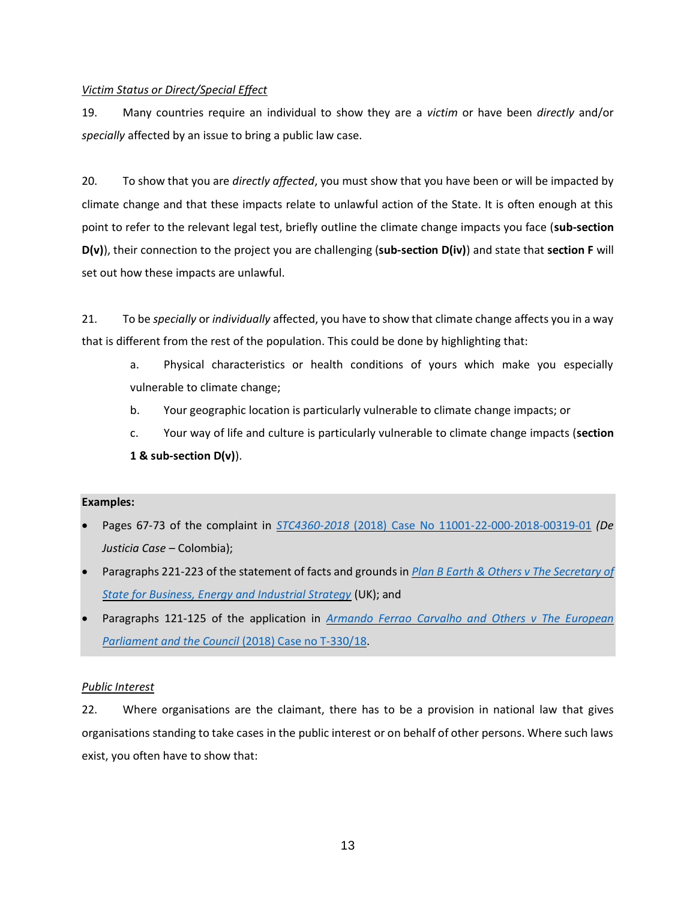### *Victim Status or Direct/Special Effect*

19. Many countries require an individual to show they are a *victim* or have been *directly* and/or *specially* affected by an issue to bring a public law case.

20. To show that you are *directly affected*, you must show that you have been or will be impacted by climate change and that these impacts relate to unlawful action of the State. It is often enough at this point to refer to the relevant legal test, briefly outline the climate change impacts you face (**sub-section D(v)**), their connection to the project you are challenging (**sub-section D(iv)**) and state that **section F** will set out how these impacts are unlawful.

21. To be *specially* or *individually* affected, you have to show that climate change affects you in a way that is different from the rest of the population. This could be done by highlighting that:

- a. Physical characteristics or health conditions of yours which make you especially vulnerable to climate change;
- b. Your geographic location is particularly vulnerable to climate change impacts; or
- c. Your way of life and culture is particularly vulnerable to climate change impacts (**section 1 & sub-section D(v)**).

### **Examples:**

- Pages 67-73 of the complaint in *STC4360-2018* [\(2018\) Case No 11001-22-000-2018-00319-01](http://blogs2.law.columbia.edu/climate-change-litigation/wp-content/uploads/sites/16/non-us-case-documents/2018/20180129_11001-22-03-000-2018-00319-00_complaint-1.pdf) *(De Justicia Case –* Colombia);
- Paragraphs 221-223 of the statement of facts and grounds in *[Plan B Earth & Others v The Secretary of](http://blogs2.law.columbia.edu/climate-change-litigation/wp-content/uploads/sites/16/non-us-case-documents/2017/20171207_Claim-No.-CO162018_points-of-claim.pdf)  [State for Business, Energy and Industrial Strategy](http://blogs2.law.columbia.edu/climate-change-litigation/wp-content/uploads/sites/16/non-us-case-documents/2017/20171207_Claim-No.-CO162018_points-of-claim.pdf)* (UK); and
- Paragraphs 121-125 of the application in *[Armando Ferrao Carvalho and Others v The European](http://blogs2.law.columbia.edu/climate-change-litigation/wp-content/uploads/sites/16/non-us-case-documents/2018/20180524_Case-no.-T-33018_application-1.pdf)  [Parliament and the Council](http://blogs2.law.columbia.edu/climate-change-litigation/wp-content/uploads/sites/16/non-us-case-documents/2018/20180524_Case-no.-T-33018_application-1.pdf)* (2018) Case no T-330/18.

### <span id="page-12-0"></span>*Public Interest*

22. Where organisations are the claimant, there has to be a provision in national law that gives organisations standing to take cases in the public interest or on behalf of other persons. Where such laws exist, you often have to show that: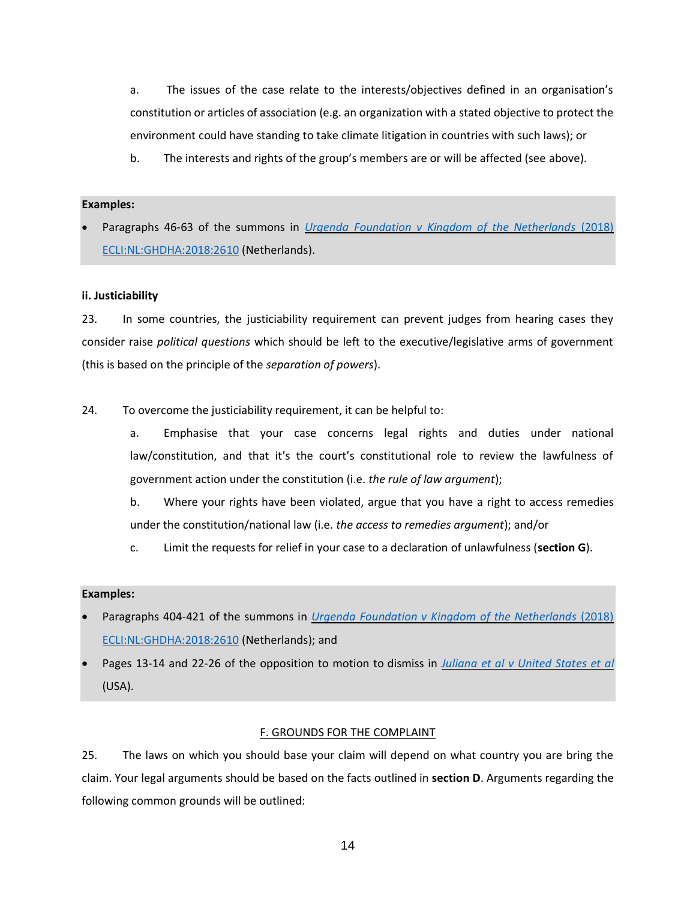a. The issues of the case relate to the interests/objectives defined in an organisation's constitution or articles of association (e.g. an organization with a stated objective to protect the environment could have standing to take climate litigation in countries with such laws); or

b. The interests and rights of the group's members are or will be affected (see above).

#### **Examples:**

• Paragraphs 46-63 of the summons in *[Urgenda Foundation v Kingdom of the Netherlands](https://www.urgenda.nl/documents/FINAL-DRAFT-Translation-Summons-in-case-Urgenda-v-Dutch-State-v.25.06.10.pdf)* (2018) [ECLI:NL:GHDHA:2018:2610](https://www.urgenda.nl/documents/FINAL-DRAFT-Translation-Summons-in-case-Urgenda-v-Dutch-State-v.25.06.10.pdf) (Netherlands).

### <span id="page-13-0"></span>**ii. Justiciability**

23. In some countries, the justiciability requirement can prevent judges from hearing cases they consider raise *political questions* which should be left to the executive/legislative arms of government (this is based on the principle of the *separation of powers*).

24. To overcome the justiciability requirement, it can be helpful to:

a. Emphasise that your case concerns legal rights and duties under national law/constitution, and that it's the court's constitutional role to review the lawfulness of government action under the constitution (i.e. *the rule of law argument*);

b. Where your rights have been violated, argue that you have a right to access remedies under the constitution/national law (i.e. *the access to remedies argument*); and/or

c. Limit the requests for relief in your case to a declaration of unlawfulness (**section G**).

#### **Examples:**

- Paragraphs 404-421 of the summons in *[Urgenda Foundation v Kingdom of the Netherlands](https://www.urgenda.nl/documents/FINAL-DRAFT-Translation-Summons-in-case-Urgenda-v-Dutch-State-v.25.06.10.pdf)* (2018) [ECLI:NL:GHDHA:2018:2610](https://www.urgenda.nl/documents/FINAL-DRAFT-Translation-Summons-in-case-Urgenda-v-Dutch-State-v.25.06.10.pdf) (Netherlands); and
- <span id="page-13-1"></span>• Pages 13-14 and 22-26 of the opposition to motion to dismiss in *[Juliana et al v United States et al](https://static1.squarespace.com/static/571d109b04426270152febe0/t/576195f02fe1316f09d2f16e/1466013170857/16.02.02.YouthOppToIntervenorMTD_0.pdf)* (USA).

### F. GROUNDS FOR THE COMPLAINT

25. The laws on which you should base your claim will depend on what country you are bring the claim. Your legal arguments should be based on the facts outlined in **section D**. Arguments regarding the following common grounds will be outlined: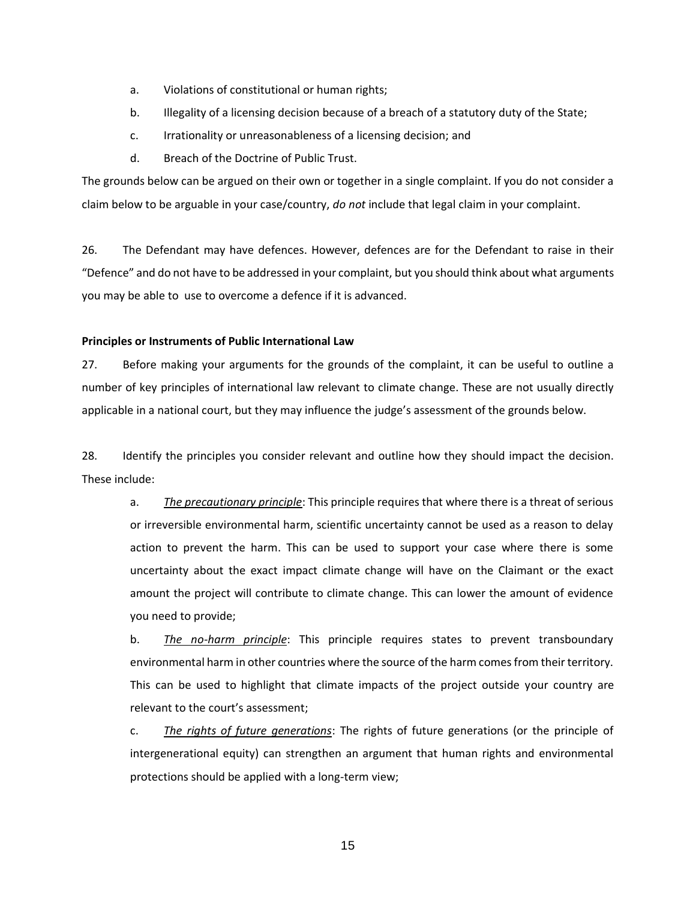- a. Violations of constitutional or human rights;
- b. Illegality of a licensing decision because of a breach of a statutory duty of the State;
- c. Irrationality or unreasonableness of a licensing decision; and
- d. Breach of the Doctrine of Public Trust.

The grounds below can be argued on their own or together in a single complaint. If you do not consider a claim below to be arguable in your case/country, *do not* include that legal claim in your complaint.

26. The Defendant may have defences. However, defences are for the Defendant to raise in their "Defence" and do not have to be addressed in your complaint, but you should think about what arguments you may be able to use to overcome a defence if it is advanced.

#### <span id="page-14-0"></span>**Principles or Instruments of Public International Law**

27. Before making your arguments for the grounds of the complaint, it can be useful to outline a number of key principles of international law relevant to climate change. These are not usually directly applicable in a national court, but they may influence the judge's assessment of the grounds below.

28. Identify the principles you consider relevant and outline how they should impact the decision. These include:

a. *The precautionary principle*: This principle requires that where there is a threat of serious or irreversible environmental harm, scientific uncertainty cannot be used as a reason to delay action to prevent the harm. This can be used to support your case where there is some uncertainty about the exact impact climate change will have on the Claimant or the exact amount the project will contribute to climate change. This can lower the amount of evidence you need to provide;

b. *The no-harm principle*: This principle requires states to prevent transboundary environmental harm in other countries where the source of the harm comes from their territory. This can be used to highlight that climate impacts of the project outside your country are relevant to the court's assessment;

c. *The rights of future generations*: The rights of future generations (or the principle of intergenerational equity) can strengthen an argument that human rights and environmental protections should be applied with a long-term view;

15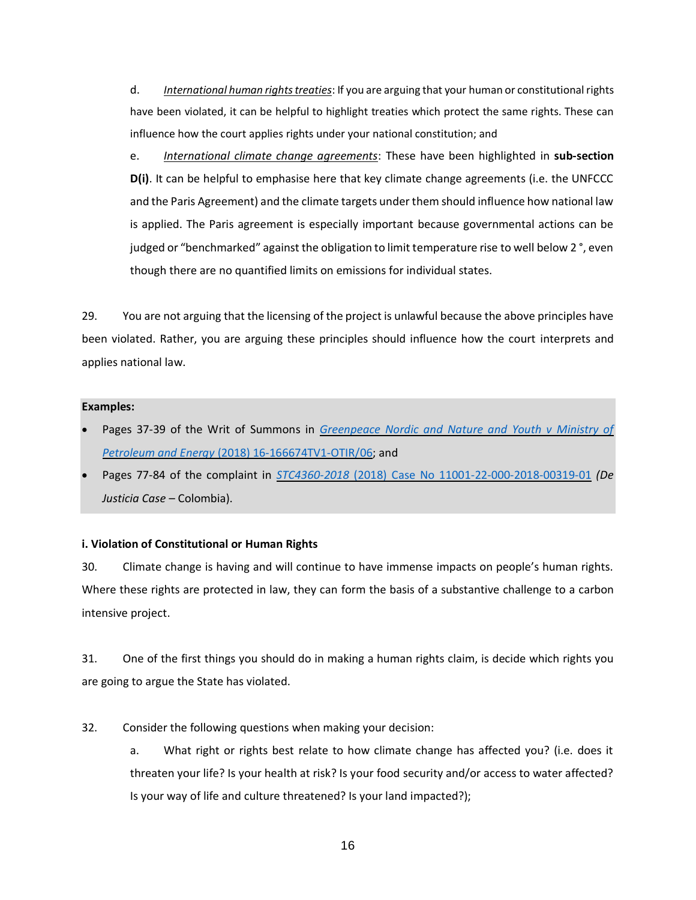d. *International human rights treaties*: If you are arguing that your human or constitutional rights have been violated, it can be helpful to highlight treaties which protect the same rights. These can influence how the court applies rights under your national constitution; and

e. *International climate change agreements*: These have been highlighted in **sub-section D(i)**. It can be helpful to emphasise here that key climate change agreements (i.e. the UNFCCC and the Paris Agreement) and the climate targets under them should influence how national law is applied. The Paris agreement is especially important because governmental actions can be judged or "benchmarked" against the obligation to limit temperature rise to well below 2°, even though there are no quantified limits on emissions for individual states.

29. You are not arguing that the licensing of the project is unlawful because the above principles have been violated. Rather, you are arguing these principles should influence how the court interprets and applies national law.

#### **Examples:**

- Pages 37-39 of the Writ of Summons in *[Greenpeace Nordic and Nature and Youth v Ministry of](http://blogs2.law.columbia.edu/climate-change-litigation/wp-content/uploads/sites/16/non-us-case-documents/2016/20161018_18-060499ASD-BORG03_petition.pdf)  Petroleum and Energy* [\(2018\) 16-166674TV1-OTIR/06;](http://blogs2.law.columbia.edu/climate-change-litigation/wp-content/uploads/sites/16/non-us-case-documents/2016/20161018_18-060499ASD-BORG03_petition.pdf) and
- Pages 77-84 of the complaint in *STC4360-2018* [\(2018\) Case No 11001-22-000-2018-00319-01](http://blogs2.law.columbia.edu/climate-change-litigation/wp-content/uploads/sites/16/non-us-case-documents/2018/20180129_11001-22-03-000-2018-00319-00_complaint-1.pdf) *(De Justicia Case –* Colombia).

#### <span id="page-15-0"></span>**i. Violation of Constitutional or Human Rights**

30. Climate change is having and will continue to have immense impacts on people's human rights. Where these rights are protected in law, they can form the basis of a substantive challenge to a carbon intensive project.

31. One of the first things you should do in making a human rights claim, is decide which rights you are going to argue the State has violated.

- 32. Consider the following questions when making your decision:
	- a. What right or rights best relate to how climate change has affected you? (i.e. does it threaten your life? Is your health at risk? Is your food security and/or access to water affected? Is your way of life and culture threatened? Is your land impacted?);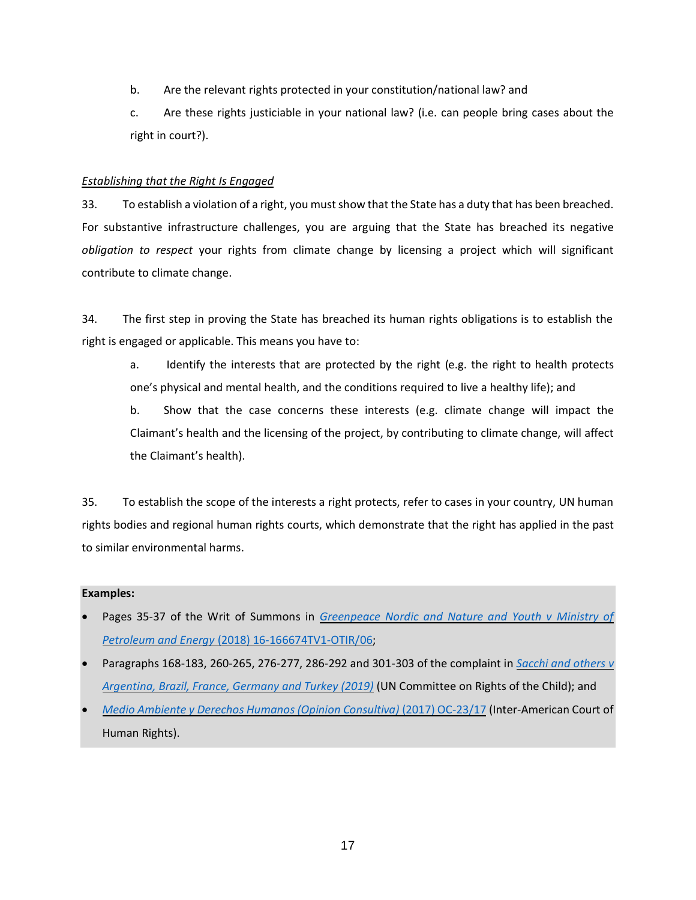- b. Are the relevant rights protected in your constitution/national law? and
- c. Are these rights justiciable in your national law? (i.e. can people bring cases about the right in court?).

### *Establishing that the Right Is Engaged*

33. To establish a violation of a right, you must show that the State has a duty that has been breached. For substantive infrastructure challenges, you are arguing that the State has breached its negative *obligation to respect* your rights from climate change by licensing a project which will significant contribute to climate change.

34. The first step in proving the State has breached its human rights obligations is to establish the right is engaged or applicable. This means you have to:

a. Identify the interests that are protected by the right (e.g. the right to health protects one's physical and mental health, and the conditions required to live a healthy life); and

b. Show that the case concerns these interests (e.g. climate change will impact the Claimant's health and the licensing of the project, by contributing to climate change, will affect the Claimant's health).

35. To establish the scope of the interests a right protects, refer to cases in your country, UN human rights bodies and regional human rights courts, which demonstrate that the right has applied in the past to similar environmental harms.

### **Examples:**

- Pages 35-37 of the Writ of Summons in *[Greenpeace Nordic and Nature and Youth v Ministry of](http://blogs2.law.columbia.edu/climate-change-litigation/wp-content/uploads/sites/16/non-us-case-documents/2016/20161018_18-060499ASD-BORG03_petition.pdf)  Petroleum and Energy* [\(2018\) 16-166674TV1-OTIR/06;](http://blogs2.law.columbia.edu/climate-change-litigation/wp-content/uploads/sites/16/non-us-case-documents/2016/20161018_18-060499ASD-BORG03_petition.pdf)
- Paragraphs 168-183, 260-265, 276-277, 286-292 and 301-303 of the complaint in *[Sacchi and others](https://childrenvsclimatecrisis.org/wp-content/uploads/2019/09/2019.09.23-CRC-communication-Sacchi-et-al-v.-Argentina-et-al-2.pdf) v [Argentina, Brazil, France, Germany and Turkey \(2019\)](https://childrenvsclimatecrisis.org/wp-content/uploads/2019/09/2019.09.23-CRC-communication-Sacchi-et-al-v.-Argentina-et-al-2.pdf)* (UN Committee on Rights of the Child); and
- *[Medio Ambiente y Derechos Humanos \(Opinion Consultiva\)](https://www.escr-net.org/caselaw/2019/advisory-opinion-oc-2317)* (2017) OC-23/17 (Inter-American Court of Human Rights).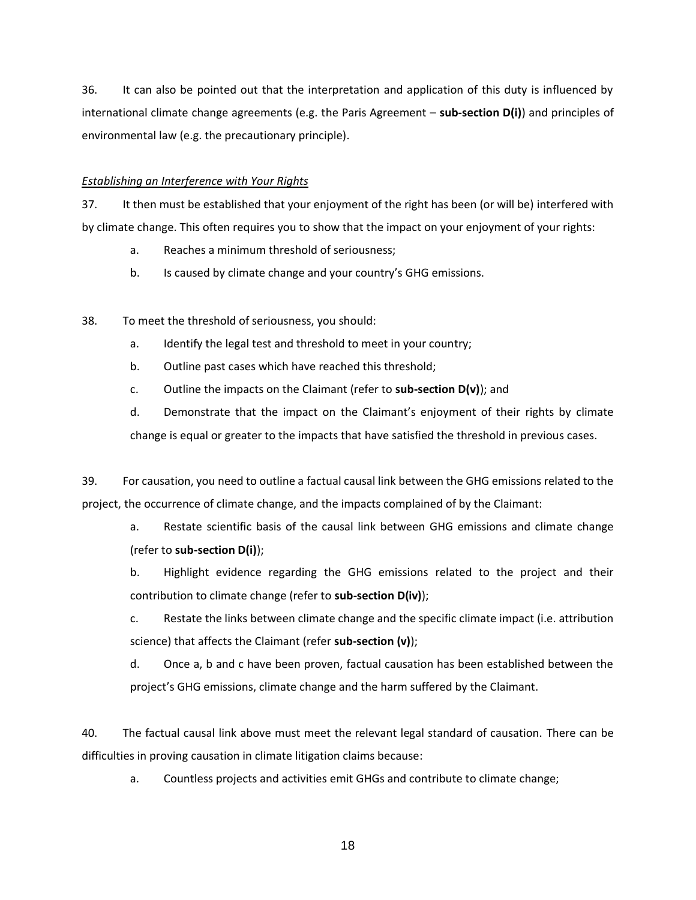36. It can also be pointed out that the interpretation and application of this duty is influenced by international climate change agreements (e.g. the Paris Agreement – **sub-section D(i)**) and principles of environmental law (e.g. the precautionary principle).

### *Establishing an Interference with Your Rights*

37. It then must be established that your enjoyment of the right has been (or will be) interfered with by climate change. This often requires you to show that the impact on your enjoyment of your rights:

- a. Reaches a minimum threshold of seriousness;
- b. Is caused by climate change and your country's GHG emissions.
- 38. To meet the threshold of seriousness, you should:
	- a. Identify the legal test and threshold to meet in your country;
	- b. Outline past cases which have reached this threshold;
	- c. Outline the impacts on the Claimant (refer to **sub-section D(v)**); and

d. Demonstrate that the impact on the Claimant's enjoyment of their rights by climate change is equal or greater to the impacts that have satisfied the threshold in previous cases.

39. For causation, you need to outline a factual causal link between the GHG emissions related to the project, the occurrence of climate change, and the impacts complained of by the Claimant:

a. Restate scientific basis of the causal link between GHG emissions and climate change (refer to **sub-section D(i)**);

b. Highlight evidence regarding the GHG emissions related to the project and their contribution to climate change (refer to **sub-section D(iv)**);

c. Restate the links between climate change and the specific climate impact (i.e. attribution science) that affects the Claimant (refer **sub-section (v)**);

d. Once a, b and c have been proven, factual causation has been established between the project's GHG emissions, climate change and the harm suffered by the Claimant.

40. The factual causal link above must meet the relevant legal standard of causation. There can be difficulties in proving causation in climate litigation claims because:

a. Countless projects and activities emit GHGs and contribute to climate change;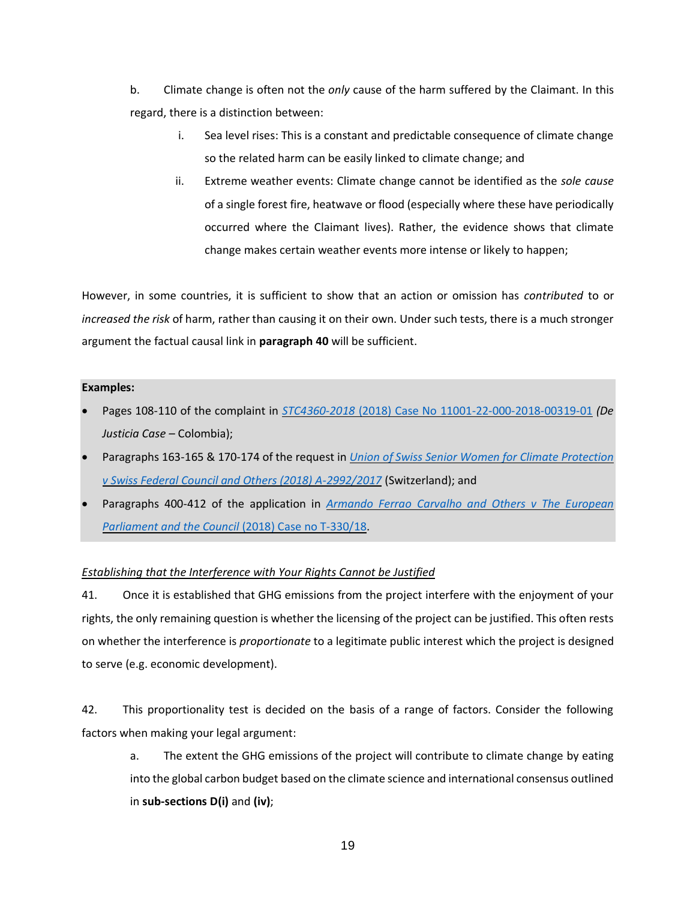b. Climate change is often not the *only* cause of the harm suffered by the Claimant. In this regard, there is a distinction between:

- i. Sea level rises: This is a constant and predictable consequence of climate change so the related harm can be easily linked to climate change; and
- ii. Extreme weather events: Climate change cannot be identified as the *sole cause*  of a single forest fire, heatwave or flood (especially where these have periodically occurred where the Claimant lives). Rather, the evidence shows that climate change makes certain weather events more intense or likely to happen;

However, in some countries, it is sufficient to show that an action or omission has *contributed* to or *increased the risk* of harm, rather than causing it on their own. Under such tests, there is a much stronger argument the factual causal link in **paragraph 40** will be sufficient.

### **Examples:**

- Pages 108-110 of the complaint in *STC4360-2018* [\(2018\) Case No 11001-22-000-2018-00319-01](http://blogs2.law.columbia.edu/climate-change-litigation/wp-content/uploads/sites/16/non-us-case-documents/2018/20180129_11001-22-03-000-2018-00319-00_complaint-1.pdf) *(De Justicia Case –* Colombia);
- Paragraphs 163-165 & 170-174 of the request in *[Union of Swiss Senior Women for Climate Protection](https://klimaseniorinnen.ch/wp-content/uploads/2017/05/request_KlimaSeniorinnen.pdf)  [v Swiss Federal Council and Others \(2018\) A-2992/2017](https://klimaseniorinnen.ch/wp-content/uploads/2017/05/request_KlimaSeniorinnen.pdf)* (Switzerland); and
- Paragraphs 400-412 of the application in *[Armando Ferrao Carvalho and Others v The European](http://blogs2.law.columbia.edu/climate-change-litigation/wp-content/uploads/sites/16/non-us-case-documents/2018/20180524_Case-no.-T-33018_application-1.pdf)  [Parliament and the Council](http://blogs2.law.columbia.edu/climate-change-litigation/wp-content/uploads/sites/16/non-us-case-documents/2018/20180524_Case-no.-T-33018_application-1.pdf)* (2018) Case no T-330/18.

# *Establishing that the Interference with Your Rights Cannot be Justified*

41. Once it is established that GHG emissions from the project interfere with the enjoyment of your rights, the only remaining question is whether the licensing of the project can be justified. This often rests on whether the interference is *proportionate* to a legitimate public interest which the project is designed to serve (e.g. economic development).

42. This proportionality test is decided on the basis of a range of factors. Consider the following factors when making your legal argument:

a. The extent the GHG emissions of the project will contribute to climate change by eating into the global carbon budget based on the climate science and international consensus outlined in **sub-sections D(i)** and **(iv)**;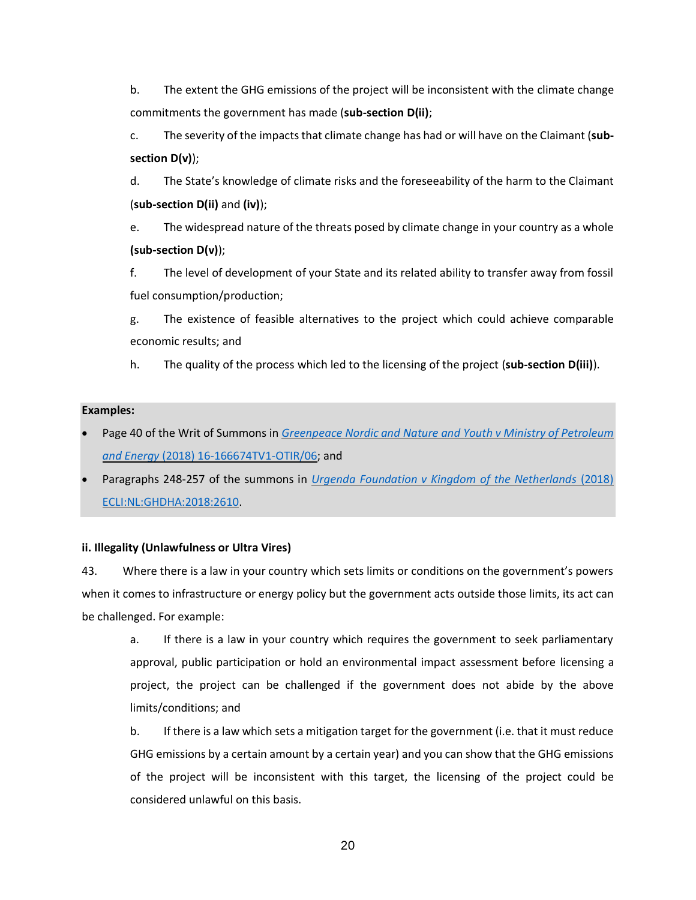b. The extent the GHG emissions of the project will be inconsistent with the climate change commitments the government has made (**sub-section D(ii)**;

c. The severity of the impacts that climate change has had or will have on the Claimant (**subsection D(v)**);

d. The State's knowledge of climate risks and the foreseeability of the harm to the Claimant (**sub-section D(ii)** and **(iv)**);

e. The widespread nature of the threats posed by climate change in your country as a whole **(sub-section D(v)**);

f. The level of development of your State and its related ability to transfer away from fossil fuel consumption/production;

g. The existence of feasible alternatives to the project which could achieve comparable economic results; and

h. The quality of the process which led to the licensing of the project (**sub-section D(iii)**).

### **Examples:**

- Page 40 of the Writ of Summons in *[Greenpeace Nordic and Nature and Youth v Ministry of Petroleum](http://blogs2.law.columbia.edu/climate-change-litigation/wp-content/uploads/sites/16/non-us-case-documents/2016/20161018_18-060499ASD-BORG03_petition.pdf)  and Energy* [\(2018\) 16-166674TV1-OTIR/06;](http://blogs2.law.columbia.edu/climate-change-litigation/wp-content/uploads/sites/16/non-us-case-documents/2016/20161018_18-060499ASD-BORG03_petition.pdf) and
- Paragraphs 248-257 of the summons in *[Urgenda Foundation v Kingdom of the Netherlands](https://www.urgenda.nl/documents/FINAL-DRAFT-Translation-Summons-in-case-Urgenda-v-Dutch-State-v.25.06.10.pdf)* (2018) [ECLI:NL:GHDHA:2018:2610.](https://www.urgenda.nl/documents/FINAL-DRAFT-Translation-Summons-in-case-Urgenda-v-Dutch-State-v.25.06.10.pdf)

# <span id="page-19-0"></span>**ii. Illegality (Unlawfulness or Ultra Vires)**

43. Where there is a law in your country which sets limits or conditions on the government's powers when it comes to infrastructure or energy policy but the government acts outside those limits, its act can be challenged. For example:

a. If there is a law in your country which requires the government to seek parliamentary approval, public participation or hold an environmental impact assessment before licensing a project, the project can be challenged if the government does not abide by the above limits/conditions; and

b. If there is a law which sets a mitigation target for the government (i.e. that it must reduce GHG emissions by a certain amount by a certain year) and you can show that the GHG emissions of the project will be inconsistent with this target, the licensing of the project could be considered unlawful on this basis.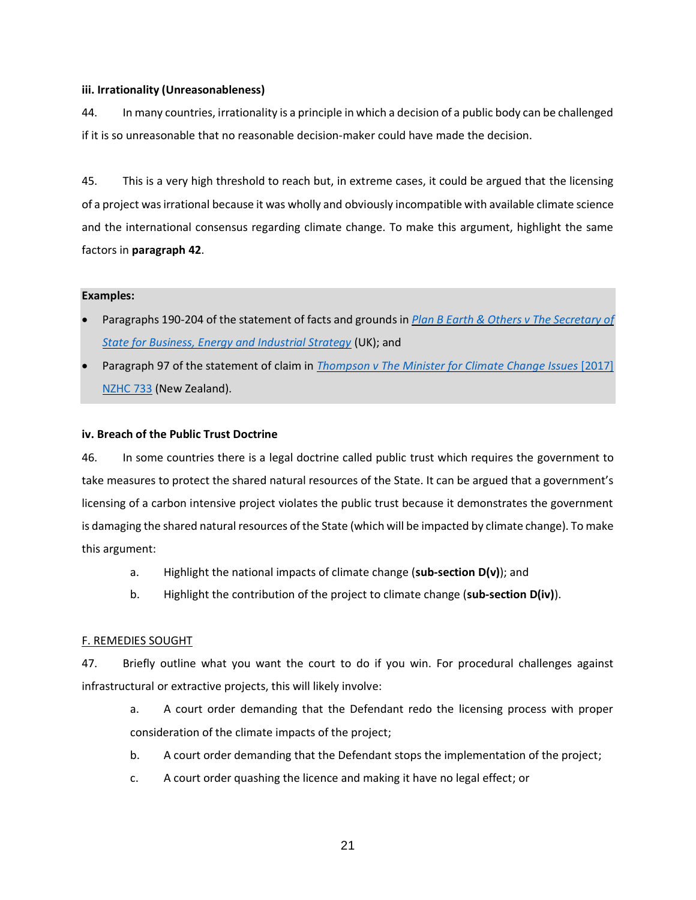### <span id="page-20-0"></span>**iii. Irrationality (Unreasonableness)**

44. In many countries, irrationality is a principle in which a decision of a public body can be challenged if it is so unreasonable that no reasonable decision-maker could have made the decision.

45. This is a very high threshold to reach but, in extreme cases, it could be argued that the licensing of a project was irrational because it was wholly and obviously incompatible with available climate science and the international consensus regarding climate change. To make this argument, highlight the same factors in **paragraph 42**.

### **Examples:**

- Paragraphs 190-204 of the statement of facts and grounds in *[Plan B Earth & Others v The Secretary of](http://blogs2.law.columbia.edu/climate-change-litigation/wp-content/uploads/sites/16/non-us-case-documents/2017/20171207_Claim-No.-CO162018_points-of-claim.pdf)  [State for Business, Energy and Industrial Strategy](http://blogs2.law.columbia.edu/climate-change-litigation/wp-content/uploads/sites/16/non-us-case-documents/2017/20171207_Claim-No.-CO162018_points-of-claim.pdf)* (UK); and
- Paragraph 97 of the statement of claim in *[Thompson v The Minister for Climate Change Issues](http://blogs2.law.columbia.edu/climate-change-litigation/wp-content/uploads/sites/16/non-us-case-documents/2015/20151110_2017-NZHC-733_complaint-1.pdf)* [2017] [NZHC 733](http://blogs2.law.columbia.edu/climate-change-litigation/wp-content/uploads/sites/16/non-us-case-documents/2015/20151110_2017-NZHC-733_complaint-1.pdf) (New Zealand).

### <span id="page-20-1"></span>**iv. Breach of the Public Trust Doctrine**

46. In some countries there is a legal doctrine called public trust which requires the government to take measures to protect the shared natural resources of the State. It can be argued that a government's licensing of a carbon intensive project violates the public trust because it demonstrates the government is damaging the shared natural resources of the State (which will be impacted by climate change). To make this argument:

- a. Highlight the national impacts of climate change (**sub-section D(v)**); and
- b. Highlight the contribution of the project to climate change (**sub-section D(iv)**).

### <span id="page-20-2"></span>F. REMEDIES SOUGHT

47. Briefly outline what you want the court to do if you win. For procedural challenges against infrastructural or extractive projects, this will likely involve:

- a. A court order demanding that the Defendant redo the licensing process with proper consideration of the climate impacts of the project;
- b. A court order demanding that the Defendant stops the implementation of the project;
- c. A court order quashing the licence and making it have no legal effect; or

21